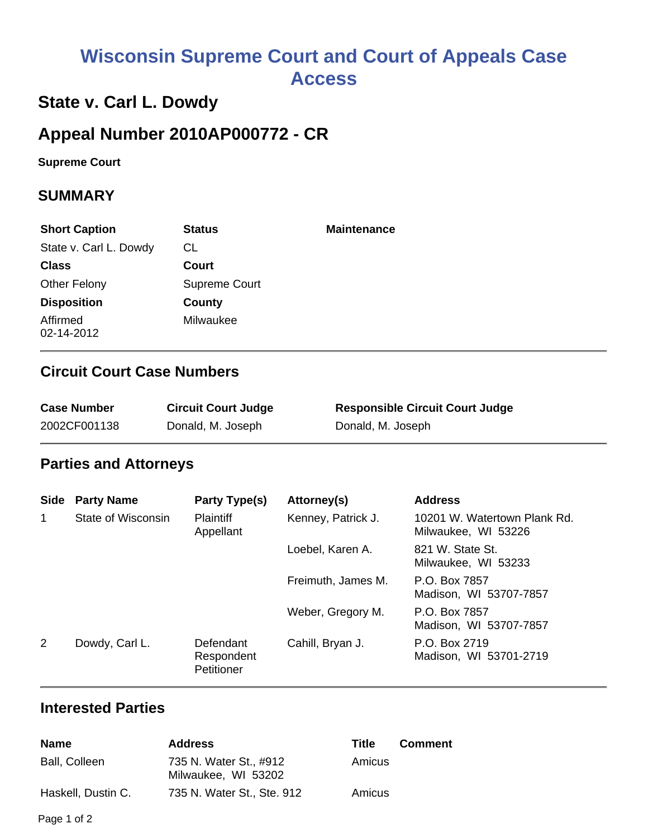# **Wisconsin Supreme Court and Court of Appeals Case Access**

# **State v. Carl L. Dowdy**

## **Appeal Number 2010AP000772 - CR**

**Supreme Court** 

#### **SUMMARY**

| <b>Short Caption</b>   | <b>Status</b> | <b>Maintenance</b> |
|------------------------|---------------|--------------------|
| State v. Carl L. Dowdy | CL            |                    |
| <b>Class</b>           | Court         |                    |
| <b>Other Felony</b>    | Supreme Court |                    |
| <b>Disposition</b>     | County        |                    |
| Affirmed<br>02-14-2012 | Milwaukee     |                    |

### **Circuit Court Case Numbers**

| <b>Case Number</b> | <b>Circuit Court Judge</b> | <b>Responsible Circuit Court Judge</b> |
|--------------------|----------------------------|----------------------------------------|
| 2002CF001138       | Donald, M. Joseph          | Donald, M. Joseph                      |

#### **Parties and Attorneys**

| <b>Side</b> | <b>Party Name</b>  | Party Type(s)                         | Attorney(s)        | <b>Address</b>                                      |
|-------------|--------------------|---------------------------------------|--------------------|-----------------------------------------------------|
| 1           | State of Wisconsin | <b>Plaintiff</b><br>Appellant         | Kenney, Patrick J. | 10201 W. Watertown Plank Rd.<br>Milwaukee, WI 53226 |
|             |                    |                                       | Loebel, Karen A.   | 821 W. State St.<br>Milwaukee, WI 53233             |
|             |                    |                                       | Freimuth, James M. | P.O. Box 7857<br>Madison, WI 53707-7857             |
|             |                    |                                       | Weber, Gregory M.  | P.O. Box 7857<br>Madison, WI 53707-7857             |
| 2           | Dowdy, Carl L.     | Defendant<br>Respondent<br>Petitioner | Cahill, Bryan J.   | P.O. Box 2719<br>Madison, WI 53701-2719             |

#### **Interested Parties**

| <b>Name</b>        | <b>Address</b>                                | Title  | <b>Comment</b> |
|--------------------|-----------------------------------------------|--------|----------------|
| Ball, Colleen      | 735 N. Water St., #912<br>Milwaukee, WI 53202 | Amicus |                |
| Haskell, Dustin C. | 735 N. Water St., Ste. 912                    | Amicus |                |

Page 1 of 2